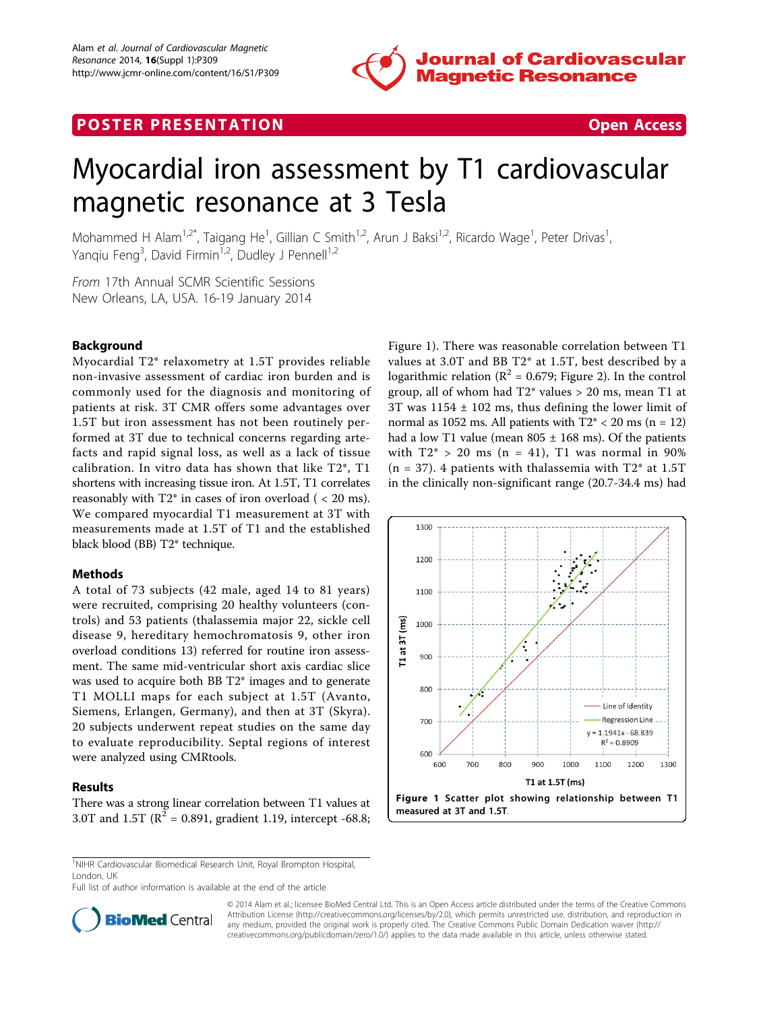

## **POSTER PRESENTATION CONSUMING THE SERVICE SERVICE SERVICE SERVICES**



# Myocardial iron assessment by T1 cardiovascular magnetic resonance at 3 Tesla

Mohammed H Alam<sup>1,2\*</sup>, Taigang He<sup>1</sup>, Gillian C Smith<sup>1,2</sup>, Arun J Baksi<sup>1,2</sup>, Ricardo Wage<sup>1</sup>, Peter Drivas<sup>1</sup> , Yanqiu Feng<sup>3</sup>, David Firmin<sup>1,2</sup>, Dudley J Pennell<sup>1,2</sup>

From 17th Annual SCMR Scientific Sessions New Orleans, LA, USA. 16-19 January 2014

### Background

Myocardial T2\* relaxometry at 1.5T provides reliable non-invasive assessment of cardiac iron burden and is commonly used for the diagnosis and monitoring of patients at risk. 3T CMR offers some advantages over 1.5T but iron assessment has not been routinely performed at 3T due to technical concerns regarding artefacts and rapid signal loss, as well as a lack of tissue calibration. In vitro data has shown that like T2\*, T1 shortens with increasing tissue iron. At 1.5T, T1 correlates reasonably with  $T2^*$  in cases of iron overload (  $\lt$  20 ms). We compared myocardial T1 measurement at 3T with measurements made at 1.5T of T1 and the established black blood (BB) T2\* technique.

#### Methods

A total of 73 subjects (42 male, aged 14 to 81 years) were recruited, comprising 20 healthy volunteers (controls) and 53 patients (thalassemia major 22, sickle cell disease 9, hereditary hemochromatosis 9, other iron overload conditions 13) referred for routine iron assessment. The same mid-ventricular short axis cardiac slice was used to acquire both BB T2\* images and to generate T1 MOLLI maps for each subject at 1.5T (Avanto, Siemens, Erlangen, Germany), and then at 3T (Skyra). 20 subjects underwent repeat studies on the same day to evaluate reproducibility. Septal regions of interest were analyzed using CMRtools.

### Results

There was a strong linear correlation between T1 values at 3.0T and 1.5T ( $R^2 = 0.891$ , gradient 1.19, intercept -68.8;

Figure 1). There was reasonable correlation between T1 values at 3.0T and BB T2\* at 1.5T, best described by a logarithmic relation ( $\mathbb{R}^2$  = 0.679; Figure [2](#page-1-0)). In the control group, all of whom had T2\* values > 20 ms, mean T1 at 3T was  $1154 \pm 102$  ms, thus defining the lower limit of normal as 1052 ms. All patients with  $T2^* < 20$  ms (n = 12) had a low T1 value (mean  $805 \pm 168$  ms). Of the patients with  $T2^* > 20$  ms (n = 41), T1 was normal in 90%  $(n = 37)$ . 4 patients with thalassemia with T2<sup>\*</sup> at 1.5T in the clinically non-significant range (20.7-34.4 ms) had



<sup>1</sup>NIHR Cardiovascular Biomedical Research Unit, Royal Brompton Hospital, London, UK

Full list of author information is available at the end of the article



© 2014 Alam et al.; licensee BioMed Central Ltd. This is an Open Access article distributed under the terms of the Creative Commons Attribution License [\(http://creativecommons.org/licenses/by/2.0](http://creativecommons.org/licenses/by/2.0)), which permits unrestricted use, distribution, and reproduction in any medium, provided the original work is properly cited. The Creative Commons Public Domain Dedication waiver [\(http://](http://creativecommons.org/publicdomain/zero/1.0/) [creativecommons.org/publicdomain/zero/1.0/](http://creativecommons.org/publicdomain/zero/1.0/)) applies to the data made available in this article, unless otherwise stated.